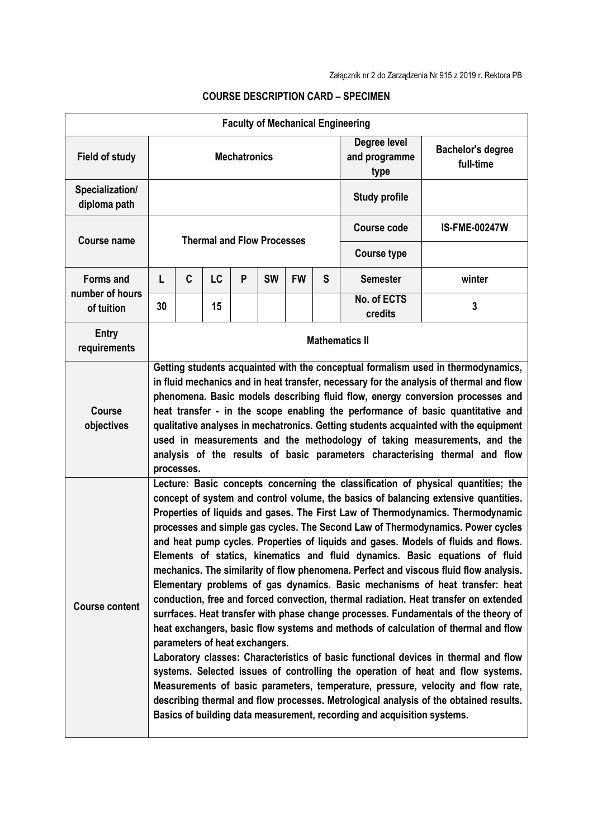| <b>Faculty of Mechanical Engineering</b>          |                                   |                                                                                                                                                                                                                                                                                                                                                                                                                                                                                                                                                                                                                                                                                                                                                                                                                                                                                                                                                                                                                                                                                                                                                                                                                                                                                                                                                                                                                                                      |    |   |           |           |                                       |                                       |                      |
|---------------------------------------------------|-----------------------------------|------------------------------------------------------------------------------------------------------------------------------------------------------------------------------------------------------------------------------------------------------------------------------------------------------------------------------------------------------------------------------------------------------------------------------------------------------------------------------------------------------------------------------------------------------------------------------------------------------------------------------------------------------------------------------------------------------------------------------------------------------------------------------------------------------------------------------------------------------------------------------------------------------------------------------------------------------------------------------------------------------------------------------------------------------------------------------------------------------------------------------------------------------------------------------------------------------------------------------------------------------------------------------------------------------------------------------------------------------------------------------------------------------------------------------------------------------|----|---|-----------|-----------|---------------------------------------|---------------------------------------|----------------------|
| <b>Field of study</b>                             | <b>Mechatronics</b>               |                                                                                                                                                                                                                                                                                                                                                                                                                                                                                                                                                                                                                                                                                                                                                                                                                                                                                                                                                                                                                                                                                                                                                                                                                                                                                                                                                                                                                                                      |    |   |           |           | Degree level<br>and programme<br>type | <b>Bachelor's degree</b><br>full-time |                      |
| Specialization/<br>diploma path                   |                                   |                                                                                                                                                                                                                                                                                                                                                                                                                                                                                                                                                                                                                                                                                                                                                                                                                                                                                                                                                                                                                                                                                                                                                                                                                                                                                                                                                                                                                                                      |    |   |           |           | <b>Study profile</b>                  |                                       |                      |
| <b>Course name</b>                                | <b>Thermal and Flow Processes</b> |                                                                                                                                                                                                                                                                                                                                                                                                                                                                                                                                                                                                                                                                                                                                                                                                                                                                                                                                                                                                                                                                                                                                                                                                                                                                                                                                                                                                                                                      |    |   |           |           |                                       | <b>Course code</b>                    | <b>IS-FME-00247W</b> |
|                                                   |                                   |                                                                                                                                                                                                                                                                                                                                                                                                                                                                                                                                                                                                                                                                                                                                                                                                                                                                                                                                                                                                                                                                                                                                                                                                                                                                                                                                                                                                                                                      |    |   |           |           |                                       | <b>Course type</b><br><b>Semester</b> |                      |
| <b>Forms and</b><br>number of hours<br>of tuition | L                                 | C                                                                                                                                                                                                                                                                                                                                                                                                                                                                                                                                                                                                                                                                                                                                                                                                                                                                                                                                                                                                                                                                                                                                                                                                                                                                                                                                                                                                                                                    | LC | P | <b>SW</b> | <b>FW</b> | S                                     |                                       | winter               |
|                                                   | 30                                |                                                                                                                                                                                                                                                                                                                                                                                                                                                                                                                                                                                                                                                                                                                                                                                                                                                                                                                                                                                                                                                                                                                                                                                                                                                                                                                                                                                                                                                      | 15 |   |           |           |                                       | No. of ECTS<br>credits                | 3                    |
| <b>Entry</b><br>requirements                      | <b>Mathematics II</b>             |                                                                                                                                                                                                                                                                                                                                                                                                                                                                                                                                                                                                                                                                                                                                                                                                                                                                                                                                                                                                                                                                                                                                                                                                                                                                                                                                                                                                                                                      |    |   |           |           |                                       |                                       |                      |
| <b>Course</b><br>objectives                       |                                   | Getting students acquainted with the conceptual formalism used in thermodynamics,<br>in fluid mechanics and in heat transfer, necessary for the analysis of thermal and flow<br>phenomena. Basic models describing fluid flow, energy conversion processes and<br>heat transfer - in the scope enabling the performance of basic quantitative and<br>qualitative analyses in mechatronics. Getting students acquainted with the equipment<br>used in measurements and the methodology of taking measurements, and the<br>analysis of the results of basic parameters characterising thermal and flow                                                                                                                                                                                                                                                                                                                                                                                                                                                                                                                                                                                                                                                                                                                                                                                                                                                 |    |   |           |           |                                       |                                       |                      |
| <b>Course content</b>                             |                                   | processes.<br>Lecture: Basic concepts concerning the classification of physical quantities; the<br>concept of system and control volume, the basics of balancing extensive quantities.<br>Properties of liquids and gases. The First Law of Thermodynamics. Thermodynamic<br>processes and simple gas cycles. The Second Law of Thermodynamics. Power cycles<br>and heat pump cycles. Properties of liquids and gases. Models of fluids and flows.<br>Elements of statics, kinematics and fluid dynamics. Basic equations of fluid<br>mechanics. The similarity of flow phenomena. Perfect and viscous fluid flow analysis.<br>Elementary problems of gas dynamics. Basic mechanisms of heat transfer: heat<br>conduction, free and forced convection, thermal radiation. Heat transfer on extended<br>surrfaces. Heat transfer with phase change processes. Fundamentals of the theory of<br>heat exchangers, basic flow systems and methods of calculation of thermal and flow<br>parameters of heat exchangers.<br>Laboratory classes: Characteristics of basic functional devices in thermal and flow<br>systems. Selected issues of controlling the operation of heat and flow systems.<br>Measurements of basic parameters, temperature, pressure, velocity and flow rate,<br>describing thermal and flow processes. Metrological analysis of the obtained results.<br>Basics of building data measurement, recording and acquisition systems. |    |   |           |           |                                       |                                       |                      |

## **COURSE DESCRIPTION CARD – SPECIMEN**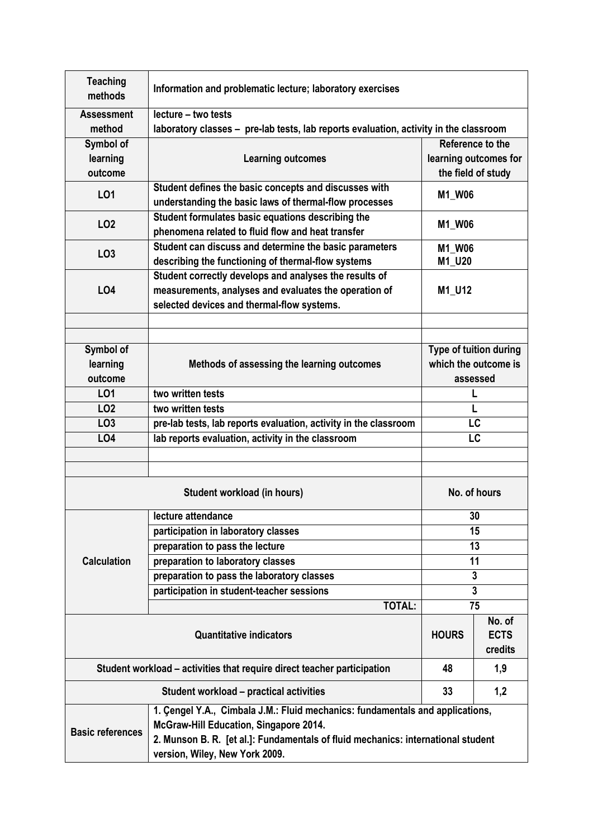| <b>Teaching</b><br>methods                                              | Information and problematic lecture; laboratory exercises                             |                        |         |  |  |  |  |
|-------------------------------------------------------------------------|---------------------------------------------------------------------------------------|------------------------|---------|--|--|--|--|
| <b>Assessment</b>                                                       | lecture - two tests                                                                   |                        |         |  |  |  |  |
| method                                                                  | laboratory classes - pre-lab tests, lab reports evaluation, activity in the classroom |                        |         |  |  |  |  |
| Symbol of                                                               |                                                                                       | Reference to the       |         |  |  |  |  |
| learning                                                                | <b>Learning outcomes</b>                                                              | learning outcomes for  |         |  |  |  |  |
| outcome                                                                 |                                                                                       | the field of study     |         |  |  |  |  |
| L01                                                                     | Student defines the basic concepts and discusses with                                 | <b>M1_W06</b>          |         |  |  |  |  |
|                                                                         | understanding the basic laws of thermal-flow processes                                |                        |         |  |  |  |  |
| LO <sub>2</sub>                                                         | Student formulates basic equations describing the                                     | M1_W06                 |         |  |  |  |  |
|                                                                         | phenomena related to fluid flow and heat transfer                                     |                        |         |  |  |  |  |
| LO <sub>3</sub>                                                         | Student can discuss and determine the basic parameters                                | M1_W06<br>M1_U20       |         |  |  |  |  |
|                                                                         | describing the functioning of thermal-flow systems                                    |                        |         |  |  |  |  |
|                                                                         | Student correctly develops and analyses the results of                                | M1_U12                 |         |  |  |  |  |
| <b>LO4</b>                                                              | measurements, analyses and evaluates the operation of                                 |                        |         |  |  |  |  |
|                                                                         | selected devices and thermal-flow systems.                                            |                        |         |  |  |  |  |
|                                                                         |                                                                                       |                        |         |  |  |  |  |
|                                                                         |                                                                                       |                        |         |  |  |  |  |
| Symbol of                                                               |                                                                                       | Type of tuition during |         |  |  |  |  |
| learning                                                                | Methods of assessing the learning outcomes                                            | which the outcome is   |         |  |  |  |  |
| outcome                                                                 |                                                                                       | assessed               |         |  |  |  |  |
| LO1                                                                     | two written tests<br>L                                                                |                        |         |  |  |  |  |
| LO <sub>2</sub>                                                         | two written tests                                                                     | L                      |         |  |  |  |  |
| LO <sub>3</sub>                                                         | pre-lab tests, lab reports evaluation, activity in the classroom<br>LC                |                        |         |  |  |  |  |
| LO <sub>4</sub>                                                         | lab reports evaluation, activity in the classroom<br>LC                               |                        |         |  |  |  |  |
|                                                                         |                                                                                       |                        |         |  |  |  |  |
|                                                                         |                                                                                       |                        |         |  |  |  |  |
| Student workload (in hours)                                             |                                                                                       | No. of hours           |         |  |  |  |  |
|                                                                         | lecture attendance                                                                    | 30                     |         |  |  |  |  |
|                                                                         | participation in laboratory classes                                                   | 15                     |         |  |  |  |  |
|                                                                         | preparation to pass the lecture                                                       |                        | 13      |  |  |  |  |
| <b>Calculation</b>                                                      | preparation to laboratory classes                                                     | 11                     |         |  |  |  |  |
|                                                                         | preparation to pass the laboratory classes                                            | 3                      |         |  |  |  |  |
|                                                                         | participation in student-teacher sessions                                             | 3                      |         |  |  |  |  |
|                                                                         | <b>TOTAL:</b>                                                                         |                        | 75      |  |  |  |  |
|                                                                         | <b>Quantitative indicators</b>                                                        |                        | No. of  |  |  |  |  |
|                                                                         | <b>HOURS</b>                                                                          | <b>ECTS</b>            |         |  |  |  |  |
|                                                                         |                                                                                       |                        | credits |  |  |  |  |
| Student workload – activities that require direct teacher participation |                                                                                       | 48                     | 1,9     |  |  |  |  |
|                                                                         | <b>Student workload - practical activities</b>                                        | 33                     | 1,2     |  |  |  |  |
|                                                                         | 1. Çengel Y.A., Cimbala J.M.: Fluid mechanics: fundamentals and applications,         |                        |         |  |  |  |  |
| <b>Basic references</b>                                                 | McGraw-Hill Education, Singapore 2014.                                                |                        |         |  |  |  |  |
|                                                                         | 2. Munson B. R. [et al.]: Fundamentals of fluid mechanics: international student      |                        |         |  |  |  |  |
|                                                                         | version, Wiley, New York 2009.                                                        |                        |         |  |  |  |  |